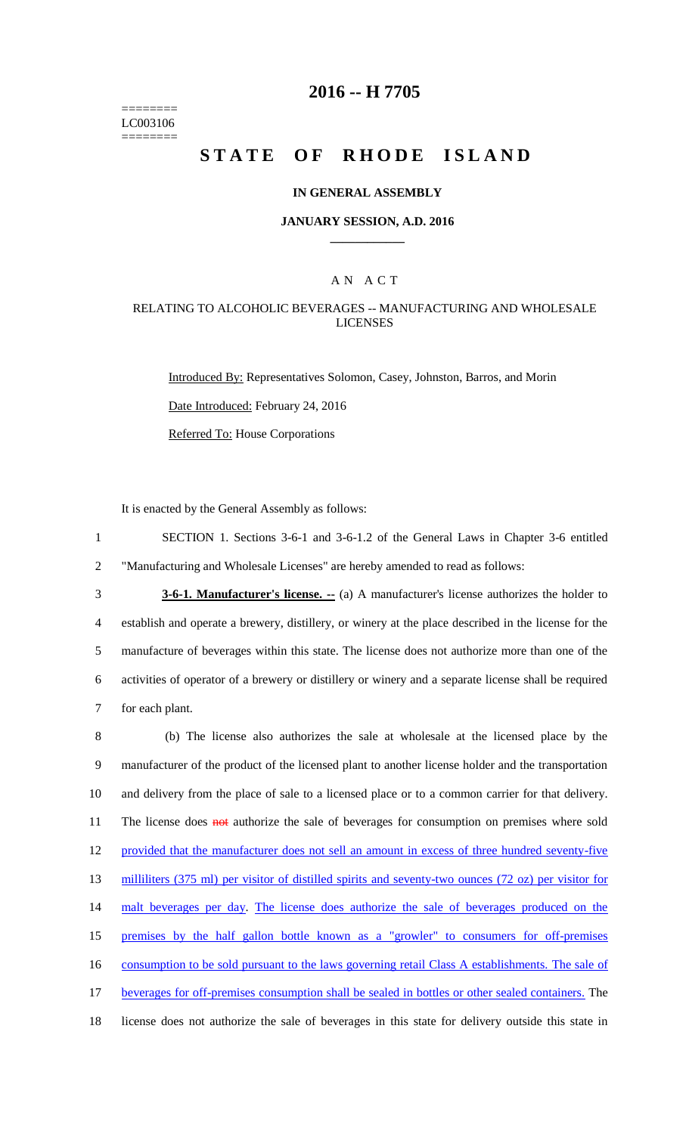======== LC003106 ========

# **2016 -- H 7705**

# **STATE OF RHODE ISLAND**

### **IN GENERAL ASSEMBLY**

#### **JANUARY SESSION, A.D. 2016 \_\_\_\_\_\_\_\_\_\_\_\_**

### A N A C T

### RELATING TO ALCOHOLIC BEVERAGES -- MANUFACTURING AND WHOLESALE LICENSES

Introduced By: Representatives Solomon, Casey, Johnston, Barros, and Morin Date Introduced: February 24, 2016 Referred To: House Corporations

It is enacted by the General Assembly as follows:

1 SECTION 1. Sections 3-6-1 and 3-6-1.2 of the General Laws in Chapter 3-6 entitled 2 "Manufacturing and Wholesale Licenses" are hereby amended to read as follows:

**3-6-1. Manufacturer's license.** -- (a) A manufacturer's license authorizes the holder to establish and operate a brewery, distillery, or winery at the place described in the license for the manufacture of beverages within this state. The license does not authorize more than one of the activities of operator of a brewery or distillery or winery and a separate license shall be required for each plant.

 (b) The license also authorizes the sale at wholesale at the licensed place by the manufacturer of the product of the licensed plant to another license holder and the transportation and delivery from the place of sale to a licensed place or to a common carrier for that delivery. 11 The license does **not** authorize the sale of beverages for consumption on premises where sold provided that the manufacturer does not sell an amount in excess of three hundred seventy-five 13 milliliters (375 ml) per visitor of distilled spirits and seventy-two ounces (72 oz) per visitor for malt beverages per day. The license does authorize the sale of beverages produced on the premises by the half gallon bottle known as a "growler" to consumers for off-premises 16 consumption to be sold pursuant to the laws governing retail Class A establishments. The sale of beverages for off-premises consumption shall be sealed in bottles or other sealed containers. The license does not authorize the sale of beverages in this state for delivery outside this state in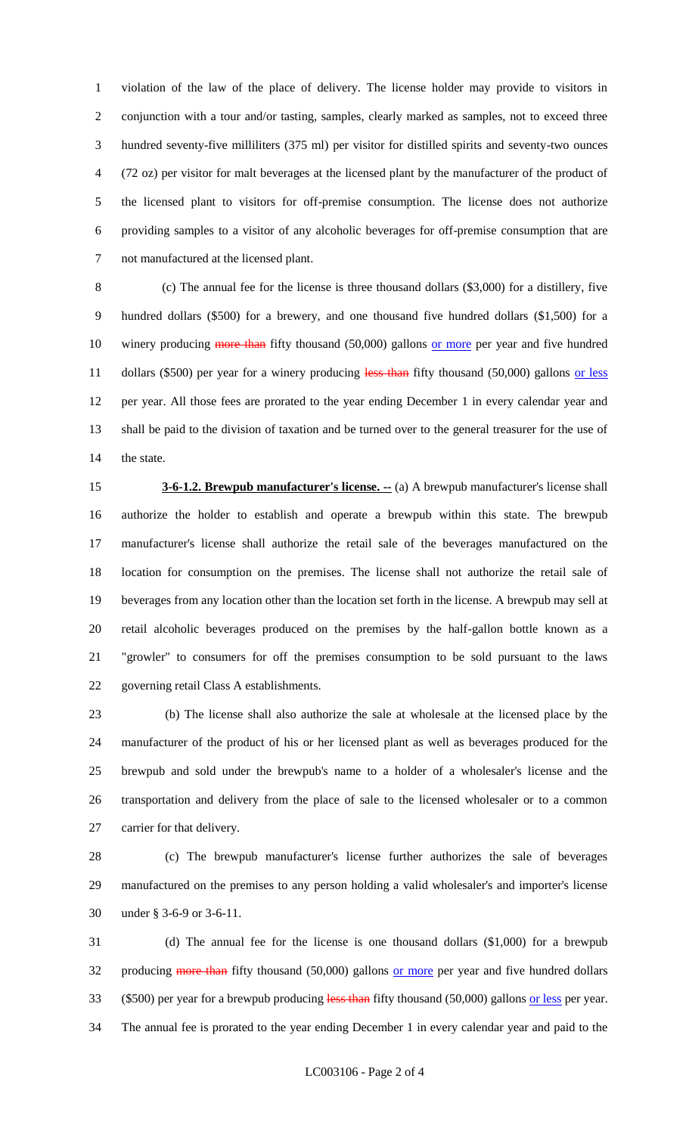violation of the law of the place of delivery. The license holder may provide to visitors in conjunction with a tour and/or tasting, samples, clearly marked as samples, not to exceed three hundred seventy-five milliliters (375 ml) per visitor for distilled spirits and seventy-two ounces (72 oz) per visitor for malt beverages at the licensed plant by the manufacturer of the product of the licensed plant to visitors for off-premise consumption. The license does not authorize providing samples to a visitor of any alcoholic beverages for off-premise consumption that are not manufactured at the licensed plant.

 (c) The annual fee for the license is three thousand dollars (\$3,000) for a distillery, five hundred dollars (\$500) for a brewery, and one thousand five hundred dollars (\$1,500) for a 10 winery producing more than fifty thousand (50,000) gallons or more per year and five hundred 11 dollars (\$500) per year for a winery producing less than fifty thousand (50,000) gallons or less per year. All those fees are prorated to the year ending December 1 in every calendar year and shall be paid to the division of taxation and be turned over to the general treasurer for the use of the state.

 **3-6-1.2. Brewpub manufacturer's license.**  $\cdot$  (a) A brewpub manufacturer's license shall authorize the holder to establish and operate a brewpub within this state. The brewpub manufacturer's license shall authorize the retail sale of the beverages manufactured on the location for consumption on the premises. The license shall not authorize the retail sale of beverages from any location other than the location set forth in the license. A brewpub may sell at retail alcoholic beverages produced on the premises by the half-gallon bottle known as a "growler" to consumers for off the premises consumption to be sold pursuant to the laws governing retail Class A establishments.

 (b) The license shall also authorize the sale at wholesale at the licensed place by the manufacturer of the product of his or her licensed plant as well as beverages produced for the brewpub and sold under the brewpub's name to a holder of a wholesaler's license and the transportation and delivery from the place of sale to the licensed wholesaler or to a common carrier for that delivery.

 (c) The brewpub manufacturer's license further authorizes the sale of beverages manufactured on the premises to any person holding a valid wholesaler's and importer's license under § 3-6-9 or 3-6-11.

 (d) The annual fee for the license is one thousand dollars (\$1,000) for a brewpub 32 producing more than fifty thousand (50,000) gallons or more per year and five hundred dollars 33 (\$500) per year for a brewpub producing less than fifty thousand (50,000) gallons or less per year. The annual fee is prorated to the year ending December 1 in every calendar year and paid to the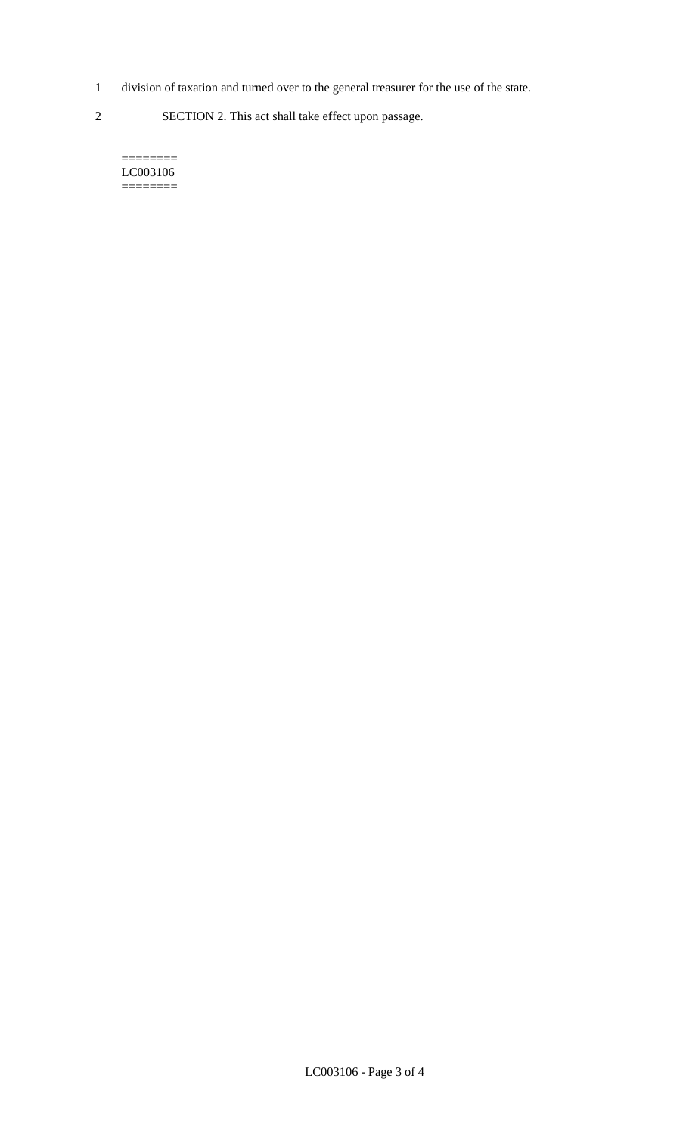- 1 division of taxation and turned over to the general treasurer for the use of the state.
- 2 SECTION 2. This act shall take effect upon passage.

======== LC003106  $=$